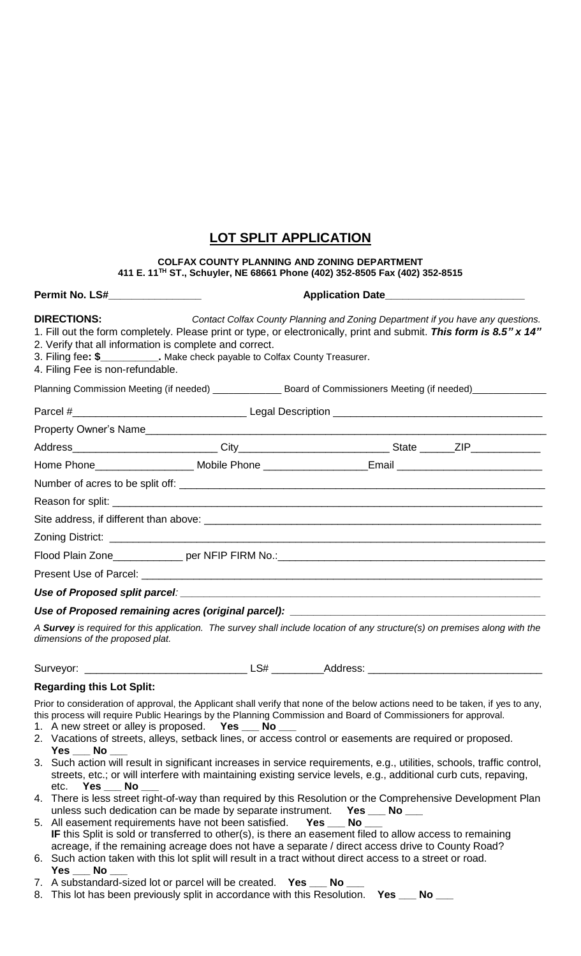## **LOT SPLIT APPLICATION**

## **COLFAX COUNTY PLANNING AND ZONING DEPARTMENT 411 E. 11TH ST., Schuyler, NE 68661 Phone (402) 352-8505 Fax (402) 352-8515**

## **Permit No. LS#\_\_\_\_\_\_\_\_\_\_\_\_\_\_\_\_ Application Date\_\_\_\_\_\_\_\_\_\_\_\_\_\_\_\_\_\_\_\_\_\_\_\_**

| <b>DIRECTIONS:</b><br>Contact Colfax County Planning and Zoning Department if you have any questions.<br>1. Fill out the form completely. Please print or type, or electronically, print and submit. This form is 8.5" x 14"<br>2. Verify that all information is complete and correct.<br>3. Filing fee: \$____________. Make check payable to Colfax County Treasurer.<br>4. Filing Fee is non-refundable.      |
|-------------------------------------------------------------------------------------------------------------------------------------------------------------------------------------------------------------------------------------------------------------------------------------------------------------------------------------------------------------------------------------------------------------------|
| Planning Commission Meeting (if needed) _______________ Board of Commissioners Meeting (if needed)____________                                                                                                                                                                                                                                                                                                    |
|                                                                                                                                                                                                                                                                                                                                                                                                                   |
|                                                                                                                                                                                                                                                                                                                                                                                                                   |
|                                                                                                                                                                                                                                                                                                                                                                                                                   |
| Home Phone______________________ Mobile Phone ____________________Email ____________________________                                                                                                                                                                                                                                                                                                              |
|                                                                                                                                                                                                                                                                                                                                                                                                                   |
|                                                                                                                                                                                                                                                                                                                                                                                                                   |
|                                                                                                                                                                                                                                                                                                                                                                                                                   |
|                                                                                                                                                                                                                                                                                                                                                                                                                   |
|                                                                                                                                                                                                                                                                                                                                                                                                                   |
|                                                                                                                                                                                                                                                                                                                                                                                                                   |
|                                                                                                                                                                                                                                                                                                                                                                                                                   |
| Use of Proposed remaining acres (original parcel): _____________________________                                                                                                                                                                                                                                                                                                                                  |
| A Survey is required for this application. The survey shall include location of any structure(s) on premises along with the<br>dimensions of the proposed plat.                                                                                                                                                                                                                                                   |
|                                                                                                                                                                                                                                                                                                                                                                                                                   |
| <b>Regarding this Lot Split:</b>                                                                                                                                                                                                                                                                                                                                                                                  |
| Prior to consideration of approval, the Applicant shall verify that none of the below actions need to be taken, if yes to any,<br>this process will require Public Hearings by the Planning Commission and Board of Commissioners for approval.<br>1. A new street or alley is proposed. Yes __ No __<br>2. Vacations of streets, alleys, setback lines, or access control or easements are required or proposed. |
| $Yes$ No<br>3. Such action will result in significant increases in service requirements, e.g., utilities, schools, traffic control,<br>streets, etc.; or will interfere with maintaining existing service levels, e.g., additional curb cuts, repaving,<br>$Yes$ No $\_\_$<br>etc.                                                                                                                                |
| 4. There is less street right-of-way than required by this Resolution or the Comprehensive Development Plan<br>unless such dedication can be made by separate instrument. Yes ___ No ___                                                                                                                                                                                                                          |
| 5. All easement requirements have not been satisfied. Yes __ No __<br>IF this Split is sold or transferred to other(s), is there an easement filed to allow access to remaining<br>acreage, if the remaining acreage does not have a separate / direct access drive to County Road?                                                                                                                               |
| 6. Such action taken with this lot split will result in a tract without direct access to a street or road.<br>No<br>Yes                                                                                                                                                                                                                                                                                           |

- 7. A substandard-sized lot or parcel will be created. **Yes \_\_\_ No \_\_\_**
- 8. This lot has been previously split in accordance with this Resolution. **Yes \_\_\_ No \_\_\_**